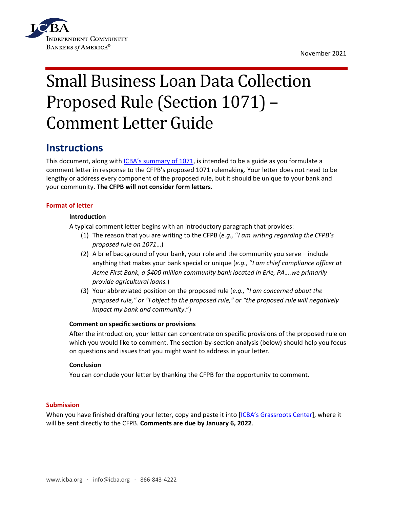

November 2021

# Small Business Loan Data Collection Proposed Rule (Section 1071) – Comment Letter Guide

# **Instructions**

This document, along with [ICBA's summary of 1071,](https://www.icba.org/docs/default-source/icba/advocacy-documents/summaries/proposed-rule-on-data-collection.pdf?sfvrsn=bcd0117_2) is intended to be a guide as you formulate a comment letter in response to the CFPB's proposed 1071 rulemaking. Your letter does not need to be lengthy or address every component of the proposed rule, but it should be unique to your bank and your community. **The CFPB will not consider form letters.**

# **Format of letter**

# **Introduction**

A typical comment letter begins with an introductory paragraph that provides:

- (1) The reason that you are writing to the CFPB (*e.g.,* "*I am writing regarding the CFPB's proposed rule on 1071*…)
- (2) A brief background of your bank, your role and the community you serve include anything that makes your bank special or unique (*e.g.,* "*I am chief compliance officer at Acme First Bank, a \$400 million community bank located in Erie, PA….we primarily provide agricultural loans.*)
- (3) Your abbreviated position on the proposed rule (*e.g.,* "*I am concerned about the proposed rule," or "I object to the proposed rule," or "the proposed rule will negatively impact my bank and community*.")

# **Comment on specific sections or provisions**

After the introduction, your letter can concentrate on specific provisions of the proposed rule on which you would like to comment. The section-by-section analysis (below) should help you focus on questions and issues that you might want to address in your letter.

# **Conclusion**

You can conclude your letter by thanking the CFPB for the opportunity to comment.

# **Submission**

When you have finished drafting your letter, copy and paste it into [\[ICBA's Grassroots Center\]](https://icba.quorum.us/campaign/1071/), where it will be sent directly to the CFPB. **Comments are due by January 6, 2022**.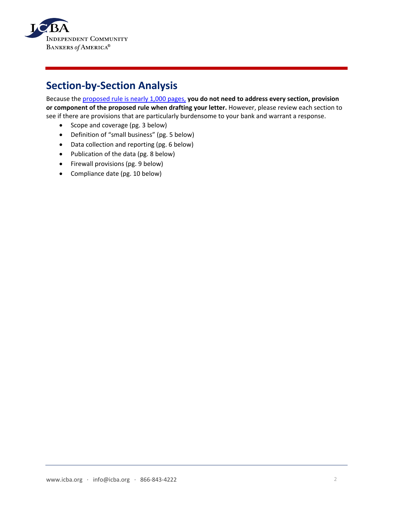

# **Section-by-Section Analysis**

Because the [proposed rule is nearly 1,000 pages,](https://files.consumerfinance.gov/f/documents/cfpb_section-1071_nprm_2021-09.pdf) **you do not need to address every section, provision or component of the proposed rule when drafting your letter.** However, please review each section to see if there are provisions that are particularly burdensome to your bank and warrant a response.

- Scope and coverage (pg. 3 below)
- Definition of "small business" (pg. 5 below)
- Data collection and reporting (pg. 6 below)
- Publication of the data (pg. 8 below)
- Firewall provisions (pg. 9 below)
- Compliance date (pg. 10 below)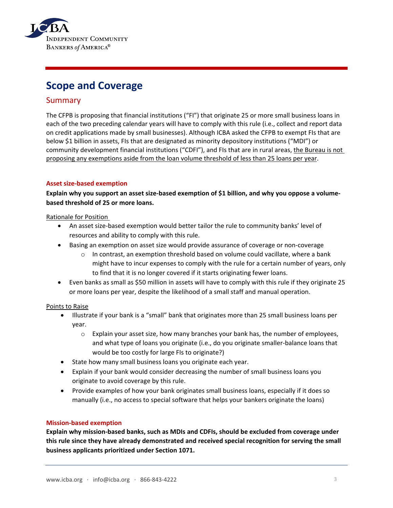

# **Scope and Coverage**

# Summary

The CFPB is proposing that financial institutions ("FI") that originate 25 or more small business loans in each of the two preceding calendar years will have to comply with this rule (i.e., collect and report data on credit applications made by small businesses). Although ICBA asked the CFPB to exempt FIs that are below \$1 billion in assets, FIs that are designated as minority depository institutions ("MDI") or community development financial institutions ("CDFI"), and FIs that are in rural areas, the Bureau is not proposing any exemptions aside from the loan volume threshold of less than 25 loans per year.

# **Asset size-based exemption**

**Explain why you support an asset size-based exemption of \$1 billion, and why you oppose a volumebased threshold of 25 or more loans.** 

# Rationale for Position

- An asset size-based exemption would better tailor the rule to community banks' level of resources and ability to comply with this rule.
- Basing an exemption on asset size would provide assurance of coverage or non-coverage
	- $\circ$  In contrast, an exemption threshold based on volume could vacillate, where a bank might have to incur expenses to comply with the rule for a certain number of years, only to find that it is no longer covered if it starts originating fewer loans.
- Even banks as small as \$50 million in assets will have to comply with this rule if they originate 25 or more loans per year, despite the likelihood of a small staff and manual operation.

# Points to Raise

- Illustrate if your bank is a "small" bank that originates more than 25 small business loans per year.
	- $\circ$  Explain your asset size, how many branches your bank has, the number of employees, and what type of loans you originate (i.e., do you originate smaller-balance loans that would be too costly for large FIs to originate?)
- State how many small business loans you originate each year.
- Explain if your bank would consider decreasing the number of small business loans you originate to avoid coverage by this rule.
- Provide examples of how your bank originates small business loans, especially if it does so manually (i.e., no access to special software that helps your bankers originate the loans)

# **Mission-based exemption**

**Explain why mission-based banks, such as MDIs and CDFIs, should be excluded from coverage under this rule since they have already demonstrated and received special recognition for serving the small business applicants prioritized under Section 1071.**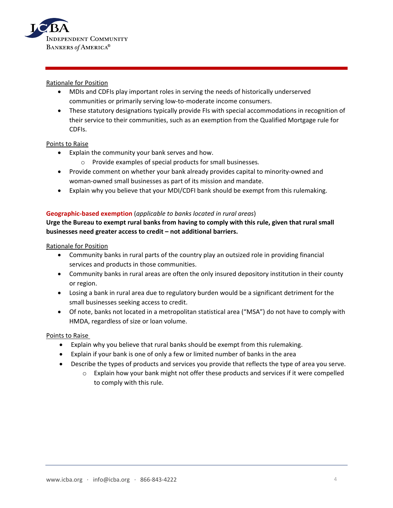

### Rationale for Position

- MDIs and CDFIs play important roles in serving the needs of historically underserved communities or primarily serving low-to-moderate income consumers.
- These statutory designations typically provide FIs with special accommodations in recognition of their service to their communities, such as an exemption from the Qualified Mortgage rule for CDFIs.

#### Points to Raise

- Explain the community your bank serves and how.
	- o Provide examples of special products for small businesses*.*
- Provide comment on whether your bank already provides capital to minority-owned and woman-owned small businesses as part of its mission and mandate.
- Explain why you believe that your MDI/CDFI bank should be exempt from this rulemaking.

#### **Geographic-based exemption** (*applicable to banks located in rural areas*)

# **Urge the Bureau to exempt rural banks from having to comply with this rule, given that rural small businesses need greater access to credit – not additional barriers.**

#### Rationale for Position

- Community banks in rural parts of the country play an outsized role in providing financial services and products in those communities.
- Community banks in rural areas are often the only insured depository institution in their county or region.
- Losing a bank in rural area due to regulatory burden would be a significant detriment for the small businesses seeking access to credit.
- Of note, banks not located in a metropolitan statistical area ("MSA") do not have to comply with HMDA, regardless of size or loan volume.

- Explain why you believe that rural banks should be exempt from this rulemaking.
- Explain if your bank is one of only a few or limited number of banks in the area
- Describe the types of products and services you provide that reflects the type of area you serve.
	- $\circ$  Explain how your bank might not offer these products and services if it were compelled to comply with this rule.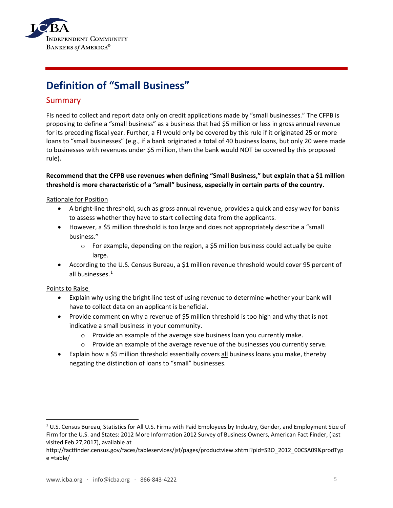

# **Definition of "Small Business"**

# Summary

FIs need to collect and report data only on credit applications made by "small businesses." The CFPB is proposing to define a "small business" as a business that had \$5 million or less in gross annual revenue for its preceding fiscal year. Further, a FI would only be covered by this rule if it originated 25 or more loans to "small businesses" (e.g., if a bank originated a total of 40 business loans, but only 20 were made to businesses with revenues under \$5 million, then the bank would NOT be covered by this proposed rule).

# **Recommend that the CFPB use revenues when defining "Small Business," but explain that a \$1 million threshold is more characteristic of a "small" business, especially in certain parts of the country.**

# Rationale for Position

- A bright-line threshold, such as gross annual revenue, provides a quick and easy way for banks to assess whether they have to start collecting data from the applicants.
- However, a \$5 million threshold is too large and does not appropriately describe a "small business."
	- $\circ$  For example, depending on the region, a \$5 million business could actually be quite large.
- According to the U.S. Census Bureau, a \$1 million revenue threshold would cover 95 percent of all businesses.<sup>[1](#page-4-0)</sup>

- Explain why using the bright-line test of using revenue to determine whether your bank will have to collect data on an applicant is beneficial.
- Provide comment on why a revenue of \$5 million threshold is too high and why that is not indicative a small business in your community.
	- o Provide an example of the average size business loan you currently make.
	- $\circ$  Provide an example of the average revenue of the businesses you currently serve.
- Explain how a \$5 million threshold essentially covers all business loans you make, thereby negating the distinction of loans to "small" businesses.

<span id="page-4-0"></span><sup>&</sup>lt;sup>1</sup> U.S. Census Bureau, Statistics for All U.S. Firms with Paid Employees by Industry, Gender, and Employment Size of Firm for the U.S. and States: 2012 More Information 2012 Survey of Business Owners, American Fact Finder, (last visited Feb 27,2017), available at

http://factfinder.census.gov/faces/tableservices/jsf/pages/productview.xhtml?pid=SBO\_2012\_00CSA09&prodTyp e =table/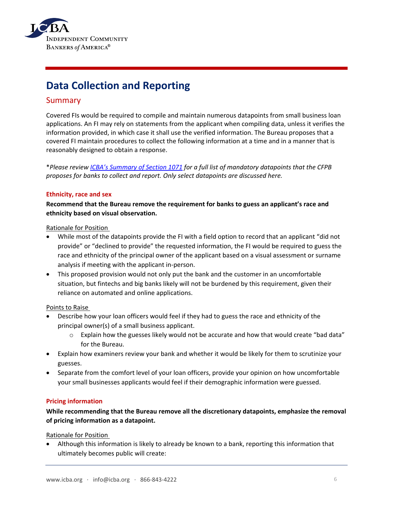

# **Data Collection and Reporting**

# Summary

Covered FIs would be required to compile and maintain numerous datapoints from small business loan applications. An FI may rely on statements from the applicant when compiling data, unless it verifies the information provided, in which case it shall use the verified information. The Bureau proposes that a covered FI maintain procedures to collect the following information at a time and in a manner that is reasonably designed to obtain a response.

\**Please revie[w ICBA's Summary of Section 1071](https://www.icba.org/docs/default-source/icba/advocacy-documents/summaries/proposed-rule-on-data-collection.pdf?sfvrsn=bcd0117_2) for a full list of mandatory datapoints that the CFPB proposes for banks to collect and report. Only select datapoints are discussed here.* 

# **Ethnicity, race and sex**

**Recommend that the Bureau remove the requirement for banks to guess an applicant's race and ethnicity based on visual observation.** 

#### Rationale for Position

- While most of the datapoints provide the FI with a field option to record that an applicant "did not provide" or "declined to provide" the requested information, the FI would be required to guess the race and ethnicity of the principal owner of the applicant based on a visual assessment or surname analysis if meeting with the applicant in-person.
- This proposed provision would not only put the bank and the customer in an uncomfortable situation, but fintechs and big banks likely will not be burdened by this requirement, given their reliance on automated and online applications.

# Points to Raise

- Describe how your loan officers would feel if they had to guess the race and ethnicity of the principal owner(s) of a small business applicant.
	- $\circ$  Explain how the guesses likely would not be accurate and how that would create "bad data" for the Bureau.
- Explain how examiners review your bank and whether it would be likely for them to scrutinize your guesses.
- Separate from the comfort level of your loan officers, provide your opinion on how uncomfortable your small businesses applicants would feel if their demographic information were guessed.

# **Pricing information**

# **While recommending that the Bureau remove all the discretionary datapoints, emphasize the removal of pricing information as a datapoint.**

Rationale for Position

• Although this information is likely to already be known to a bank, reporting this information that ultimately becomes public will create: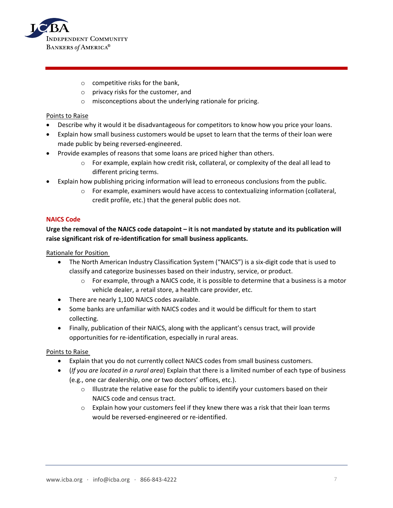

- $\circ$  competitive risks for the bank,
- o privacy risks for the customer, and
- o misconceptions about the underlying rationale for pricing.

#### Points to Raise

- Describe why it would it be disadvantageous for competitors to know how you price your loans.
- Explain how small business customers would be upset to learn that the terms of their loan were made public by being reversed-engineered.
- Provide examples of reasons that some loans are priced higher than others.
	- $\circ$  For example, explain how credit risk, collateral, or complexity of the deal all lead to different pricing terms.
- Explain how publishing pricing information will lead to erroneous conclusions from the public.
	- o For example, examiners would have access to contextualizing information (collateral, credit profile, etc.) that the general public does not.

#### **NAICS Code**

# **Urge the removal of the NAICS code datapoint – it is not mandated by statute and its publication will raise significant risk of re-identification for small business applicants.**

Rationale for Position

- The North American Industry Classification System ("NAICS") is a six-digit code that is used to classify and categorize businesses based on their industry, service, or product.
	- $\circ$  For example, through a NAICS code, it is possible to determine that a business is a motor vehicle dealer, a retail store, a health care provider, etc.
- There are nearly 1,100 NAICS codes available.
- Some banks are unfamiliar with NAICS codes and it would be difficult for them to start collecting.
- Finally, publication of their NAICS, along with the applicant's census tract, will provide opportunities for re-identification, especially in rural areas.

- Explain that you do not currently collect NAICS codes from small business customers.
- (*If you are located in a rural area*) Explain that there is a limited number of each type of business (e.g., one car dealership, one or two doctors' offices, etc.).
	- $\circ$  Illustrate the relative ease for the public to identify your customers based on their NAICS code and census tract.
	- $\circ$  Explain how your customers feel if they knew there was a risk that their loan terms would be reversed-engineered or re-identified.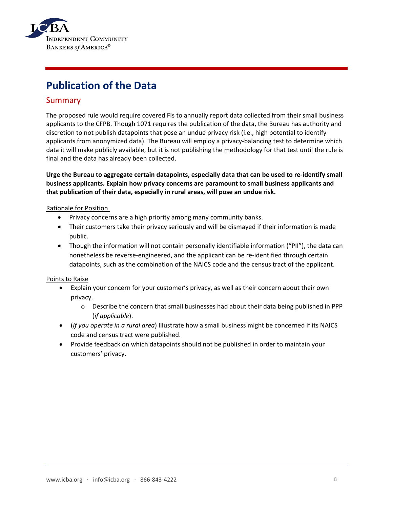

# **Publication of the Data**

# Summary

The proposed rule would require covered FIs to annually report data collected from their small business applicants to the CFPB. Though 1071 requires the publication of the data, the Bureau has authority and discretion to not publish datapoints that pose an undue privacy risk (i.e., high potential to identify applicants from anonymized data). The Bureau will employ a privacy-balancing test to determine which data it will make publicly available, but it is not publishing the methodology for that test until the rule is final and the data has already been collected.

**Urge the Bureau to aggregate certain datapoints, especially data that can be used to re-identify small business applicants. Explain how privacy concerns are paramount to small business applicants and that publication of their data, especially in rural areas, will pose an undue risk.** 

# Rationale for Position

- Privacy concerns are a high priority among many community banks.
- Their customers take their privacy seriously and will be dismayed if their information is made public.
- Though the information will not contain personally identifiable information ("PII"), the data can nonetheless be reverse-engineered, and the applicant can be re-identified through certain datapoints, such as the combination of the NAICS code and the census tract of the applicant.

- Explain your concern for your customer's privacy, as well as their concern about their own privacy.
	- o Describe the concern that small businesses had about their data being published in PPP (*if applicable*).
- (*If you operate in a rural area*) Illustrate how a small business might be concerned if its NAICS code and census tract were published.
- Provide feedback on which datapoints should not be published in order to maintain your customers' privacy.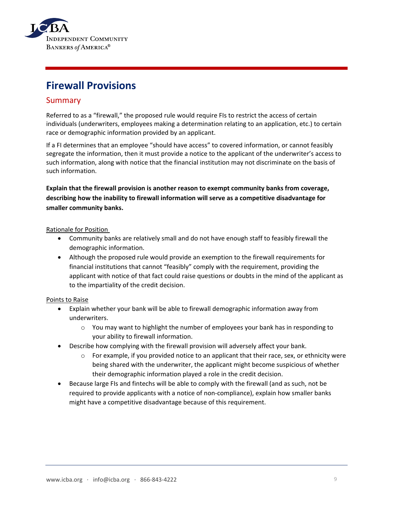

# **Firewall Provisions**

# Summary

Referred to as a "firewall," the proposed rule would require FIs to restrict the access of certain individuals (underwriters, employees making a determination relating to an application, etc.) to certain race or demographic information provided by an applicant.

If a FI determines that an employee "should have access" to covered information, or cannot feasibly segregate the information, then it must provide a notice to the applicant of the underwriter's access to such information, along with notice that the financial institution may not discriminate on the basis of such information.

**Explain that the firewall provision is another reason to exempt community banks from coverage, describing how the inability to firewall information will serve as a competitive disadvantage for smaller community banks.** 

# Rationale for Position

- Community banks are relatively small and do not have enough staff to feasibly firewall the demographic information.
- Although the proposed rule would provide an exemption to the firewall requirements for financial institutions that cannot "feasibly" comply with the requirement, providing the applicant with notice of that fact could raise questions or doubts in the mind of the applicant as to the impartiality of the credit decision.

- Explain whether your bank will be able to firewall demographic information away from underwriters.
	- $\circ$  You may want to highlight the number of employees your bank has in responding to your ability to firewall information.
- Describe how complying with the firewall provision will adversely affect your bank.
	- $\circ$  For example, if you provided notice to an applicant that their race, sex, or ethnicity were being shared with the underwriter, the applicant might become suspicious of whether their demographic information played a role in the credit decision.
- Because large FIs and fintechs will be able to comply with the firewall (and as such, not be required to provide applicants with a notice of non-compliance), explain how smaller banks might have a competitive disadvantage because of this requirement.